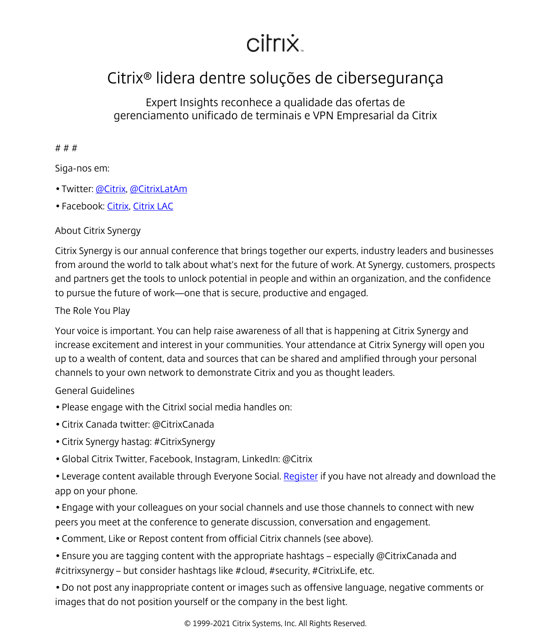# citrix.

## Citrix® lidera dentre soluções de cibersegurança

Expert Insights reconhece a qualidade das ofertas de gerenciamento unificado de terminais e VPN Empresarial da Citrix

#### # # #

### Siga-nos em:

- Twitter: [@Citrix,](http://www.twitter.com/citrix) [@CitrixLatAm](https://twitter.com/CitrixLatAm)
- Facebook: [Citrix,](http://www.facebook.com/citrix) [Citrix LAC](https://www.facebook.com/pages/Citrix-Systems-Latin-America-Caribbean/104811562559)

### About Citrix Synergy

Citrix Synergy is our annual conference that brings together our experts, industry leaders and businesses from around the world to talk about what's next for the future of work. At Synergy, customers, prospects and partners get the tools to unlock potential in people and within an organization, and the confidence to pursue the future of work—one that is secure, productive and engaged.

#### The Role You Play

Your voice is important. You can help raise awareness of all that is happening at Citrix Synergy and increase excitement and interest in your communities. Your attendance at Citrix Synergy will open you up to a wealth of content, data and sources that can be shared and amplified through your personal channels to your own network to demonstrate Citrix and you as thought leaders.

### General Guidelines

- Please engage with the Citrixl social media handles on:
- Citrix Canada twitter: @CitrixCanada
- Citrix Synergy hastag: #CitrixSynergy
- Global Citrix Twitter, Facebook, Instagram, LinkedIn: @Citrix
- Leverage content available through Everyone Social. [Register](https://app.everyonesocial.com/enterprise-login) if you have not already and download the app on your phone.
- Engage with your colleagues on your social channels and use those channels to connect with new peers you meet at the conference to generate discussion, conversation and engagement.
- Comment, Like or Repost content from official Citrix channels (see above).
- Ensure you are tagging content with the appropriate hashtags especially @CitrixCanada and #citrixsynergy – but consider hashtags like #cloud, #security, #CitrixLife, etc.
- Do not post any inappropriate content or images such as offensive language, negative comments or images that do not position yourself or the company in the best light.